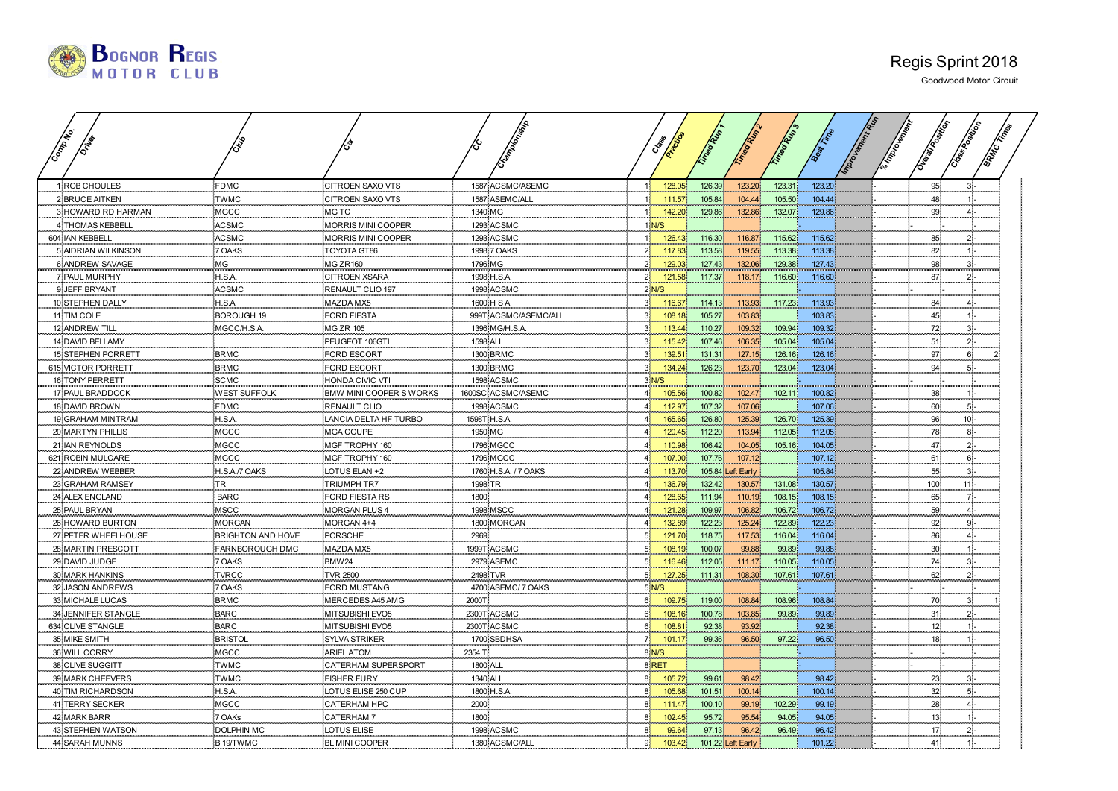

| Company                |                        |                         |                 | Crampion Miles       |                | Cres               |        |                   | T. Mean P. S |        | Important Many | <b>Community</b> |                |  |
|------------------------|------------------------|-------------------------|-----------------|----------------------|----------------|--------------------|--------|-------------------|--------------|--------|----------------|------------------|----------------|--|
| <b>ROB CHOULES</b>     | <b>FDMC</b>            | <b>CITROEN SAXO VTS</b> |                 | 1587 ACSMC/ASEMC     | 1 <sup>1</sup> | 128.05             | 126.39 | 123.20            | 123.31       | 123.20 |                | 95               |                |  |
| 2 BRUCE AITKEN         | <b>TWMC</b>            | <b>CITROEN SAXO VTS</b> |                 | 1587 ASEMC/ALL       | 1 <sup>1</sup> | 111.57             | 105.84 | 104.44            | 105.50       | 104.44 |                | 48               |                |  |
| 3 HOWARD RD HARMAN     | MGCC                   | <b>MGTC</b>             | 1340 MG         |                      | 1 <sup>1</sup> | 142.20             | 129.86 | 132.86            | 132.07       | 129.86 |                | 99               |                |  |
| 4 THOMAS KEBBELI       | ACSMC                  | MORRIS MINI COOPER      |                 | 1293 ACSMC           |                | 1 <mark>N/S</mark> |        |                   |              |        |                |                  |                |  |
| 604 IAN KEBBELL        | <b>ACSMC</b>           | MORRIS MINI COOPER      |                 | 1293 ACSMC           | 1 <sup>1</sup> | 126.43             | 116.30 | 116.87            | 115.62       | 115.62 |                | 85               |                |  |
| 5 AIDRIAN WILKINSON    | 7 OAKS                 | TOYOTA GT86             |                 | 1998 7 OAKS          | 2 <sup>1</sup> | 117.83             | 113.58 | 119.55            | 113.38       | 113.38 |                | 82               |                |  |
| 6 ANDREW SAVAGE        | MG                     | MG ZR160                | 1796 MG         |                      | 2 <sup>1</sup> | 129.03             | 127.43 | 132.06            | 129.38       | 127.43 |                | 98               |                |  |
| 7 PAUL MURPHY          | H.S.A.                 | <b>CITROEN XSARA</b>    |                 | 1998 H.S.A.          | $2^{\circ}$    | 121.58             | 117.37 | 118.17            | 116.60       | 116.60 |                | 87               | 21-            |  |
| 9 JEFF BRYANT          | <b>ACSMC</b>           | RENAULT CLIO 197        |                 | 1998 ACSMC           |                | $2$ N/S            |        |                   |              |        |                |                  |                |  |
| 10 STEPHEN DALLY       | H.S.A                  | MAZDA MX5               |                 | 1600 H S A           | 3 <sup>1</sup> | 116.67             | 114.13 | 113.93            | 117.23       | 113.93 |                | 84               | AS.            |  |
| 11 TIM COLE            | <b>BOROUGH 19</b>      | <b>FORD FIESTA</b>      |                 | 999T ACSMC/ASEMC/ALL | 3 <sup>1</sup> | 108.18             | 105.27 | 103.83            |              | 103.83 |                | 45               |                |  |
| 12 ANDREW TILL         | MGCC/H.S.A.            | <b>MG ZR 105</b>        |                 | 1396 MG/H.S.A.       | 3 <sup>1</sup> | 113.44             | 110.27 | 109.32            | 109.94       | 109.32 |                | 72               | $3 -$          |  |
| 14 DAVID BELLAMY       |                        | PEUGEOT 106GTI          | <b>1598 ALL</b> |                      | 3 <sup>1</sup> | 115.42             | 107.46 | 106.35            | 105.04       | 105.04 |                | 51               | $2^5$          |  |
| 15 STEPHEN PORRETT     | <b>BRMC</b>            | <b>FORD ESCORT</b>      |                 | 1300 BRMC            | 3 <sup>1</sup> | 139.51             | 131.31 | 127.15            | 126.16       | 126.16 |                | 97.              | 6.             |  |
| 615 VICTOR PORRETT     | <b>BRMC</b>            | FORD ESCORT             |                 | 1300 BRMC            | 3 <sup>1</sup> | 134.24             | 126.23 | 123.70            | 123.04       | 123.04 |                | 94               | 51.            |  |
| <b>16 TONY PERRETT</b> | <b>SCMC</b>            | HONDA CIVIC VTI         |                 | 1598 ACSMC           |                | $3$ N/S            |        |                   |              |        |                |                  |                |  |
| 17 PAUL BRADDOCK       | <b>WEST SUFFOLK</b>    | BMW MINI COOPER S WORKS |                 | 1600SC ACSMC/ASEMC   | 4 <sup>1</sup> | 105.56             | 100.82 | 102.47            | 102.11       | 100.82 |                | 38               |                |  |
| <b>18 DAVID BROWN</b>  | <b>FDMC</b>            | <b>RENAULT CLIO</b>     |                 | 1998 ACSMC           | 4 <sup>1</sup> | 112.97             | 107.32 | 107.06            |              | 107.06 |                | 60               | $5 -$          |  |
| 19 GRAHAM MINTRAM      | H.S.A.                 | LANCIA DELTA HF TURBO   | 1598T H.S.A.    |                      | 4 <sup>1</sup> | 165.65             | 126.80 | 125.39            | 126.70       | 125.39 |                | 96               | $10 -$         |  |
| 20 MARTYN PHILLIS      | MGCC                   | MGA COUPE               | 1950 MG         |                      | $\overline{4}$ | 120.45             | 112.20 | 113.94            | 112.05       | 112.05 |                | 78<br>47         | $8 \cdot$      |  |
| 21 IAN REYNOLDS        | MGCC                   | MGF TROPHY 160          |                 | 1796 MGCC            | 4 <sup>1</sup> | 110.98             | 106.42 | 104.05            | 105.16       | 104.05 |                |                  | 21             |  |
| 621 ROBIN MULCARE      | <b>MGCC</b>            | MGF TROPHY 160          |                 | <b>1796 MGCC</b>     | 4 <sup>1</sup> | 107.00             | 107.76 | 107.12            |              | 107.12 |                | 61               | $6 -$          |  |
| 22 ANDREW WEBBER       | H.S.A./7 OAKS          | LOTUS ELAN +2           |                 | 1760 H.S.A. / 7 OAKS | 4 <sup>1</sup> | 113.70             |        | 105.84 Left Early |              | 105.84 |                | 55               | 3 <sup>1</sup> |  |
| 23 GRAHAM RAMSEY       | <b>TR</b>              | <b>TRIUMPH TR7</b>      | 1998 TR         |                      | 4 <sup>1</sup> | 136.79             | 132.42 | 130.57            | 131.08       | 130.57 |                | 100              | $11 -$         |  |
| 24 ALEX ENGLAND        | <b>BARC</b>            | <b>FORD FIESTARS</b>    | 1800            |                      | 4 <sup>1</sup> | 128.65             | 111.94 | 110.19            | 108.15       | 108.15 |                | 65               | 가.             |  |
| 25 PAUL BRYAN          | MSCC                   | <b>MORGAN PLUS 4</b>    |                 | 1998 MSCC            | 4 <sup>1</sup> | 121.28             | 109.97 | 106.82            | 106.72       | 106.72 |                | 59               |                |  |
| 26 HOWARD BURTON       | <b>MORGAN</b>          | MORGAN 4+4              |                 | 1800 MORGAN          | 4 <sup>1</sup> | 132.89             | 122.23 | 125.24            | 122.89       | 122.23 |                | 92               | 9.             |  |
| 27 PETER WHEELHOUSE    | BRIGHTON AND HOVE      | PORSCHE                 | 2969            |                      | 5 <sup>1</sup> | 121.70             | 118.75 | 117.53            | 116.04       | 116.04 |                | 86<br>30         |                |  |
| 28 MARTIN PRESCOTT     | <b>FARNBOROUGH DMC</b> | MAZDA MX5               |                 | 1999T_ACSMC          | 5 <sup>1</sup> | 108.19             | 100.07 | 99.88             | 99.89        | 99.88  |                |                  |                |  |
| 29 DAVID JUDGE         | 7 OAKS                 | BMW24                   |                 | 2979 ASEMC           | 5 <sup>1</sup> | 116.46             | 112.05 | 111.17            | 110.05       | 110.05 |                | 74               | 31             |  |
| 30 MARK HANKINS        | <b>TVRCC</b>           | <b>TVR 2500</b>         | 2498 TVR        |                      | 5 <sup>1</sup> | 127.25             | 111.31 | 108.30            | 107.61       | 107.61 |                | 62               | 20             |  |
| 32 JASON ANDREWS       | OAKS                   | FORD MUSTANG            |                 | 4700 ASEMC/ 7 OAKS   |                | 5 N/S              |        |                   |              |        |                |                  |                |  |
| 33 MICHALE LUCAS       | <b>BRMC</b>            | MERCEDES A45 AMG        | 2000T           |                      | 6 <sup>1</sup> | 109.75             | 119.00 | 108.84            | 108.96       | 108.84 |                | 70               |                |  |
| 34 JENNIFER STANGLE    | <b>BARC</b>            | MITSUBISHI EVO5         |                 | 2300T ACSMC          | 6 <sup>1</sup> | 108.16             | 100.78 | 103.85            | 99.89        | 99.89  |                | 31               | っ              |  |
| 634 CLIVE STANGLE      | <b>BARC</b>            | MITSUBISHI EVO5         |                 | 2300T ACSMC          | $6 -$          | 108.8              | 92.38  | 93.92             |              | 92.38  |                | 12 <sub>1</sub>  |                |  |
| 35 MIKE SMITH          | <b>BRISTOL</b>         | <b>SYLVA STRIKER</b>    |                 | 1700 SBDHSA          | 7 <sup>1</sup> | 101.17             | 99.36  | 96.50             | 97.22        | 96.50  |                | 18 <sub>1</sub>  |                |  |
| 36 WILL CORRY          | <b>MGCC</b>            | <b>ARIEL ATOM</b>       | 2354 T          |                      |                | 8 N/S              |        |                   |              |        |                |                  |                |  |
| 38 CLIVE SUGGITT       | <b>TWMC</b>            | CATERHAM SUPERSPORT     | 1800 ALL        |                      |                | 8 RET              |        |                   |              |        |                |                  |                |  |
| 39 MARK CHEEVERS       | TWMC                   | <b>FISHER FURY</b>      | 1340 ALL        |                      | 8              | 105.72             | 99.61  | 98.42             |              | 98.42  |                | 23.              |                |  |
| 40 TIM RICHARDSON      | H.S.A.                 | LOTUS ELISE 250 CUP     |                 | 1800 H.S.A.          | 8 <sup>1</sup> | 105.68             | 101.51 | 100.14            |              | 100.14 |                | 32 <sub>1</sub>  |                |  |
| 41 TERRY SECKER        | MGCC                   | CATERHAM HPC            | 2000            |                      | 8 <sub>1</sub> | 111.47             | 100.10 | 99.19             | 102.29       | 99.19  |                | 28               |                |  |
| 42 MARK BARR           | 7 OAKs                 | <b>CATERHAM 7</b>       | 1800            |                      | 8 <sup>1</sup> | 102.45             | 95.72  | 95.54             | 94.05        | 94.05  |                | 13 <sub>1</sub>  |                |  |
| 43 STEPHEN WATSON      | <b>DOLPHIN MC</b>      | LOTUS ELISE             |                 | 1998 ACSMC           | 8              | 99.64              | 97.13  | 96.42             | 96.49        | 96.42  |                | 17               |                |  |
| 44 SARAH MUNNS         | B 19/TWMC              | BL MINI COOPER          |                 | 1380 ACSMC/ALL       | 9              | 103.42             |        | 101.22 Left Early |              | 101.22 |                | 41               |                |  |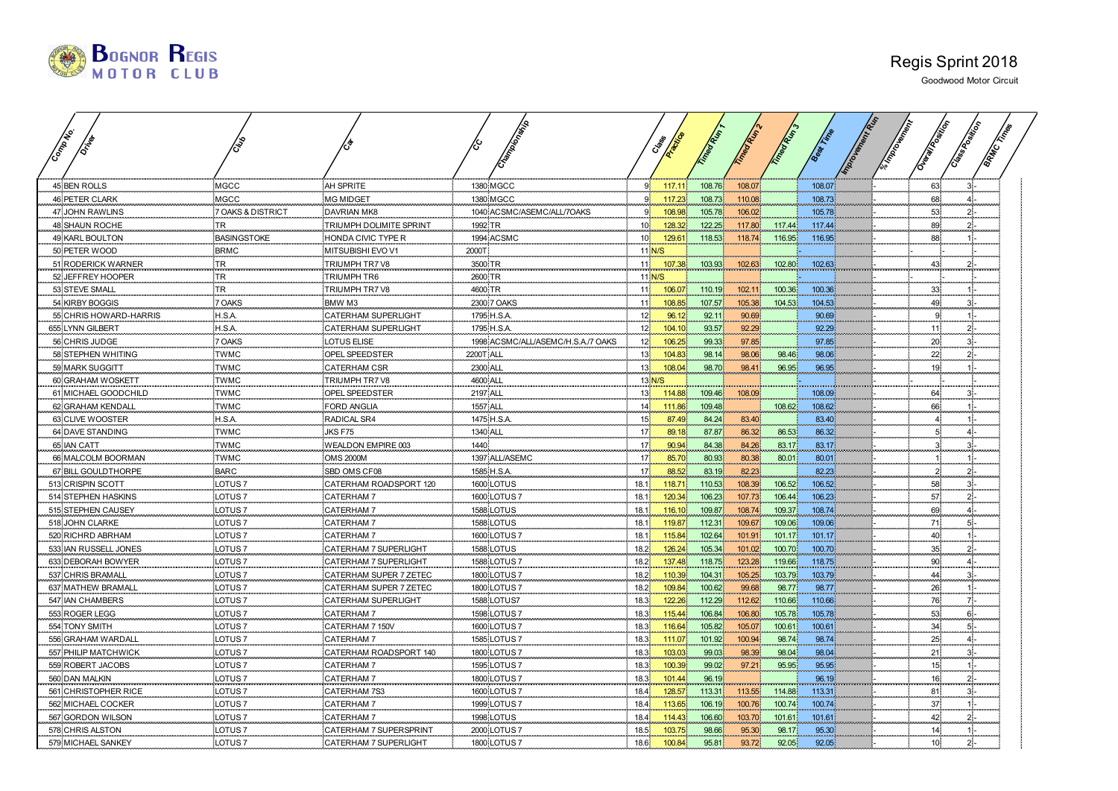| <b>BOGNOR REGIS</b> |  |
|---------------------|--|
|                     |  |

| Company                |                    |                            |                  |                                    |                            |        |        |        | Timegram |        |  |                 |    |       |
|------------------------|--------------------|----------------------------|------------------|------------------------------------|----------------------------|--------|--------|--------|----------|--------|--|-----------------|----|-------|
|                        |                    |                            |                  |                                    |                            |        |        |        |          |        |  |                 |    |       |
| 45 BEN ROLLS           | MGCC               | AH SPRITE                  |                  | 1380 MGCC                          | $9^{\circ}$                | 117.1' | 108.76 | 108.07 |          | 108.07 |  | 63.             |    |       |
| <b>46 PETER CLARK</b>  | <b>MGCC</b>        | <b>MG MIDGET</b>           |                  | 1380 MGCC                          | 9 <sup>1</sup>             | 117.23 | 108.73 | 110.08 |          | 108.73 |  | 68              |    | 41-   |
| 47 JOHN RAWLINS        | 7 OAKS & DISTRICT  | <b>DAVRIAN MK8</b>         |                  | 1040 ACSMC/ASEMC/ALL/7OAKS         | 9 <sup>1</sup>             | 108.98 | 105.78 | 106.02 |          | 105.78 |  | 53              |    | $2$ . |
| <b>48 SHAUN ROCHE</b>  | <b>TR</b>          | TRIUMPH DOLIMITE SPRINT    | 1992 TR          |                                    | 10 <sup>7</sup>            | 128.32 | 122.25 | 117.80 | 117.44   | 117.44 |  | 89              |    | 2ŀ    |
| 49 KARL BOULTON        | <b>BASINGSTOKE</b> | HONDA CIVIC TYPE R         |                  | 1994 ACSMC                         | 10 <sup>1</sup>            | 129.61 | 118.53 | 118.74 | 116.95   | 116.95 |  | 88.             |    |       |
| 50 PETER WOOD          | <b>BRMC</b>        | MITSUBISHI EVO V1          | 2000T            |                                    |                            | 11 N/S |        |        |          |        |  |                 |    |       |
| 51 RODERICK WARNER     | TR <sub>.</sub>    | TRIUMPH TR7 V8             | 3500 TR          |                                    | 11 <sup>1</sup>            | 107.38 | 103.93 | 102.63 | 102.80   | 102.63 |  | 43              |    |       |
| 52 JEFFREY HOOPER      | <b>TR</b>          | <b>TRIUMPH TR6</b>         | 2600 TR          |                                    |                            | 11 N/S |        |        |          |        |  |                 |    |       |
| 53 STEVE SMALL         | TR                 | TRIUMPH TR7 V8             | 4600 TR          |                                    | 11 <sup>1</sup>            | 106.07 | 110.19 | 102.11 | 100.36   | 100.36 |  | 33              |    |       |
| 54 KIRBY BOGGIS        | 7 OAKS             | BMW M3                     |                  | 2300 7 OAKS                        | 11 <sup>1</sup>            | 108.85 | 107.57 | 105.38 | 104.53   | 104.53 |  | 49<br>q.        |    |       |
| 55 CHRIS HOWARD-HARRIS | H.S.A.             | <b>CATERHAM SUPERLIGHT</b> |                  | 1795 H.S.A.                        | 12 <sup>1</sup>            | 96.12  | 92.11  | 90.69  |          | 90.69  |  |                 |    |       |
| 655 LYNN GILBERT       | H.S.A.             | CATERHAM SUPERLIGHT        |                  | 1795 H.S.A.                        | 12 <sup>1</sup>            | 104.10 | 93.57  | 92.29  |          | 92.29  |  | 11              |    | $2$ . |
| 56 CHRIS JUDGE         | 7 OAKS             | LOTUS ELISE                |                  | 1998 ACSMC/ALL/ASEMC/H.S.A./7 OAKS | 12 <sub>1</sub>            | 106.25 | 99.33  | 97.85  |          | 97.85  |  | 20              | 31 |       |
| 58 STEPHEN WHITING     | <b>TWMC</b>        | OPEL SPEEDSTER             | <b>2200T ALL</b> |                                    | 13 <sup>°</sup>            | 104.83 | 98.14  | 98.06  | 98.46    | 98.06  |  | 22              |    |       |
| 59 MARK SUGGITT        | TWMC               | <b>CATERHAM CSR</b>        | 2300 ALL         |                                    | 13 <sup>°</sup>            | 108.04 | 98.70  | 98.41  | 96.95    | 96.95  |  | 19              |    |       |
| 60 GRAHAM WOSKETT      | <b>TWMC</b>        | TRIUMPH TR7 V8             | 4600 ALL         |                                    |                            | 13 N/S |        |        |          |        |  |                 |    |       |
| 61 MICHAEL GOODCHILD   | <b>TWMC</b>        | OPEL SPEEDSTER             | 2197 ALL         |                                    | 13 <sup>1</sup>            | 114.88 | 109.46 | 108.09 |          | 108.09 |  | 64              |    | 3.    |
| 62 GRAHAM KENDALI      | <b>TWMC</b>        | <b>FORD ANGLIA</b>         | <b>1557 ALL</b>  |                                    | 14 <sup>°</sup>            | 111.86 | 109.48 |        | 108.62   | 108.62 |  | 66              |    |       |
| 63 CLIVE WOOSTER       | H.S.A.             | RADICAL SR4                |                  | 1475 H.S.A                         | 15 <sub>1</sub>            | 87.49  | 84.24  | 83.40  |          | 83.40  |  |                 |    |       |
| 64 DAVE STANDING       | TWMC               | JKS F75                    | 1340 ALL         |                                    | 17 <sup>2</sup><br>a sa ng | 89.18  | 87.87  | 86.32  | 86.53    | 86.32  |  |                 |    |       |
| 65 IAN CATT            | <b>TWMC</b>        | WEALDON EMPIRE 003         | 1440             |                                    | 17 <sup>1</sup>            | 90.94  | 84.38  | 84.26  | 83.17    | 83.17  |  |                 |    |       |
| 66 MALCOLM BOORMAN     | <b>TWMC</b>        | <b>OMS 2000M</b>           |                  | 1397 ALL/ASEMC                     | 17 <sup>1</sup>            | 85.70  | 80.93  | 80.38  | 80.01    | 80.01  |  |                 |    |       |
| 67 BILL GOULDTHORPE    | <b>BARC</b>        | SBD OMS CF08               |                  | 1585 H.S.A.                        | 17 <sup>1</sup>            | 88.52  | 83.19  | 82.23  |          | 82.23  |  |                 | 2. |       |
| 513 CRISPIN SCOTT      | LOTUS <sub>7</sub> | CATERHAM ROADSPORT 120     |                  | 1600 LOTUS                         | 18.1                       | 118.71 | 110.53 | 108.39 | 106.52   | 106.52 |  | 58              |    | з.    |
| 514 STEPHEN HASKINS    | LOTUS <sub>7</sub> | <b>CATERHAM 7</b>          |                  | 1600 LOTUS 7                       | 18.1                       | 120.34 | 106.23 | 107.73 | 106.44   | 106.23 |  | 57.             | 21 |       |
| 515 STEPHEN CAUSEY     | LOTUS <sub>7</sub> | CATERHAM 7                 |                  | 1588 LOTUS                         | 18.1                       | 116.10 | 109.87 | 108.74 | 109.37   | 108.74 |  | 69              |    |       |
| 518 JOHN CLARKE        | LOTUS <sub>7</sub> | CATERHAM 7                 |                  | 1588 LOTUS                         | 18.1                       | 119.87 | 112.31 | 109.67 | 109.06   | 109.06 |  | 71 <sup>°</sup> |    | 5ŀ-   |
| 520 RICHRD ABRHAM      | LOTUS 7            | <b>CATERHAM 7</b>          |                  | 1600 LOTUS 7                       | 18.1                       | 115.84 | 102.64 | 101.91 | 101.17   | 101.17 |  | 40 <sub>l</sub> |    |       |
| 533 IAN RUSSELL JONES  | LOTUS <sub>7</sub> | CATERHAM 7 SUPERLIGHT      |                  | 1588 LOTUS                         | 18.2                       | 126.24 | 105.34 | 101.02 | 100.70   | 100.70 |  | 35.             |    | 2ŀ    |
| 633 DEBORAH BOWYER     | LOTUS <sub>7</sub> | CATERHAM 7 SUPERLIGHT      |                  | 1588 LOTUS 7                       | 18.2.                      | 137.48 | 118.75 | 123.28 | 119.66   | 118.75 |  | 90              |    | 41.   |
| 537 CHRIS BRAMALL      | LOTUS <sub>7</sub> | CATERHAM SUPER 7 ZETEC     |                  | 1800 LOTUS 7                       | 18.2                       | 110.39 | 104.31 | 105.25 | 103.79   | 103.79 |  | 44              |    |       |
| 637 MATHEW BRAMALL     | LOTUS <sub>7</sub> | CATERHAM SUPER 7 ZETEC     |                  | 1800 LOTUS 7                       | 18.2                       | 109.84 | 100.62 | 99.68  | 98.77    | 98.77  |  | 26              |    |       |
| 547 IAN CHAMBERS       | LOTUS <sub>7</sub> | CATERHAM SUPERLIGHT        |                  | 1588 LOTUS7                        | 18.3                       | 122.26 | 112.29 | 112.62 | 110.66   | 110.66 |  | 76.             |    | 7.    |
| 553 ROGER LEGG         | LOTUS <sub>7</sub> | CATERHAM 7                 |                  | 1598 LOTUS 7                       | 18.3                       | 115.44 | 106.84 | 106.80 | 105.78   | 105.78 |  | 53              |    | 6.    |
| 554 TONY SMITH         | LOTUS <sub>7</sub> | CATERHAM 7 150V            |                  | 1600 LOTUS 7                       | 18.3                       | 116.64 | 105.82 | 105.07 | 100.61   | 100.61 |  | 34.             |    | 5) -  |
| 556 GRAHAM WARDALL     | LOTUS <sub>7</sub> | CATERHAM 7                 |                  | 1585 LOTUS 7                       | 18.3                       | 111.07 | 101.92 | 100.94 | 98.74    | 98.74  |  | 25 <sub>1</sub> |    | 4Í.   |
| 557 PHILIP MATCHWICK   | LOTUS <sub>7</sub> | CATERHAM ROADSPORT 140     |                  | 1800 LOTUS 7                       | 18.3                       | 103.03 | 99.03  | 98.39  | 98.04    | 98.04  |  | 21              |    | з١.   |
| 559 ROBERT JACOBS      | LOTUS <sub>7</sub> | CATERHAM 7                 |                  | 1595 LOTUS 7                       | 18.3                       | 100.39 | 99.02  | 97.21  | 95.95    | 95.95  |  | 15              |    |       |
| 560 DAN MALKIN         | LOTUS <sub>7</sub> | CATERHAM 7                 |                  | 1800 LOTUS 7                       | 18.3                       | 101.44 | 96.19  |        |          | 96.19  |  | 16 <sub>1</sub> |    |       |
| 561 CHRISTOPHER RICE   | OTUS <sub>7</sub>  | CATERHAM 7S3               |                  | 1600 LOTUS 7                       | 18.4                       | 128.57 | 113.31 | 113.55 | 114.88   | 113.31 |  | 81              |    |       |
| 562 MICHAEL COCKER     | LOTUS <sub>7</sub> | <b>CATERHAM 7</b>          |                  | 1999 LOTUS 7                       | 18.4                       | 113.65 | 106.19 | 100.76 | 100.74   | 100.74 |  | 37              |    |       |
| 567 GORDON WILSON      | LOTUS <sub>7</sub> | CATERHAM 7                 |                  | 1998 LOTUS                         | 18.4                       | 114.43 | 106.60 | 103.70 | 101.61   | 101.61 |  | 42              |    |       |
| 578 CHRIS ALSTON       | LOTUS <sub>7</sub> | CATERHAM 7 SUPERSPRINT     |                  | 2000 LOTUS 7                       | 18.5                       | 103.75 | 98.66  | 95.30  | 98.17    | 95.30  |  | 14 <sub>1</sub> |    |       |
| 579 MICHAEL SANKEY     | LOTUS <sub>7</sub> | CATERHAM 7 SUPERLIGHT      |                  | 1800 LOTUS 7                       | 18.6                       | 100.84 | 95.81  | 93.72  | 92.05    | 92.05  |  | $10^{\circ}$    | 2. |       |
|                        |                    |                            |                  |                                    |                            |        |        |        |          |        |  |                 |    |       |